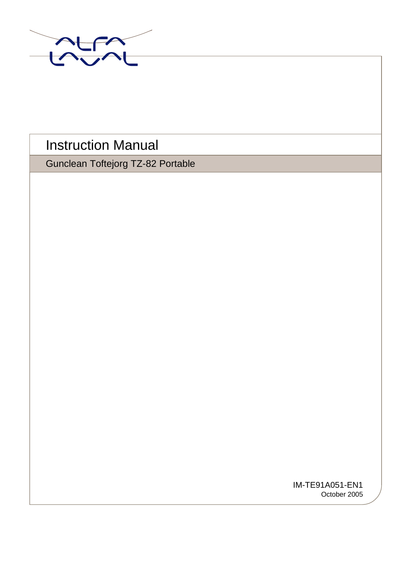

# Instruction Manual

Gunclean Toftejorg TZ-82 Portable

IM-TE91A051-EN1 October 2005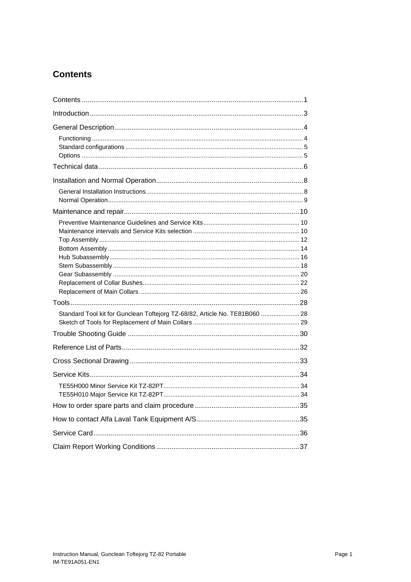# <span id="page-1-0"></span>**Contents**

| Standard Tool kit for Gunclean Toftejorg TZ-68/82, Article No. TE81B060  28 |
|-----------------------------------------------------------------------------|
|                                                                             |
|                                                                             |
|                                                                             |
|                                                                             |
|                                                                             |
|                                                                             |
|                                                                             |
|                                                                             |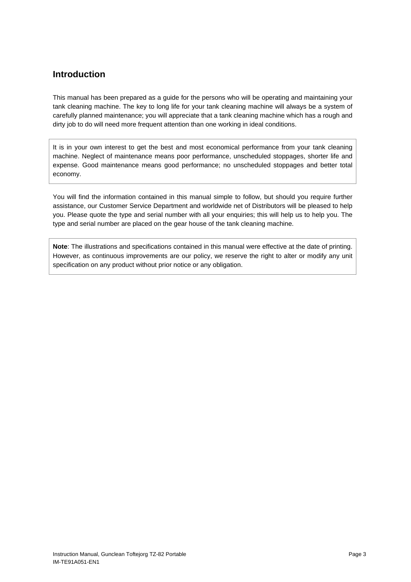# <span id="page-3-0"></span>**Introduction**

This manual has been prepared as a guide for the persons who will be operating and maintaining your tank cleaning machine. The key to long life for your tank cleaning machine will always be a system of carefully planned maintenance; you will appreciate that a tank cleaning machine which has a rough and dirty job to do will need more frequent attention than one working in ideal conditions.

It is in your own interest to get the best and most economical performance from your tank cleaning machine. Neglect of maintenance means poor performance, unscheduled stoppages, shorter life and expense. Good maintenance means good performance; no unscheduled stoppages and better total economy.

You will find the information contained in this manual simple to follow, but should you require further assistance, our Customer Service Department and worldwide net of Distributors will be pleased to help you. Please quote the type and serial number with all your enquiries; this will help us to help you. The type and serial number are placed on the gear house of the tank cleaning machine.

**Note**: The illustrations and specifications contained in this manual were effective at the date of printing. However, as continuous improvements are our policy, we reserve the right to alter or modify any unit specification on any product without prior notice or any obligation.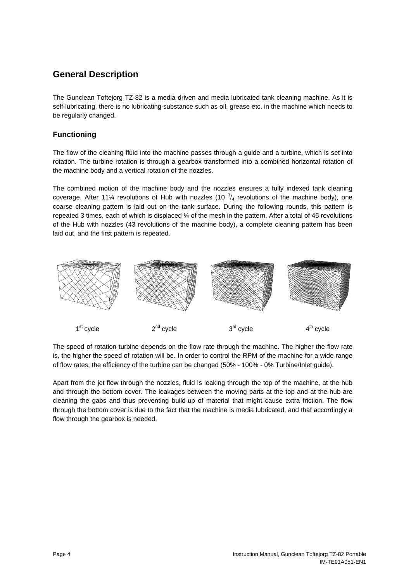# <span id="page-4-0"></span>**General Description**

The Gunclean Toftejorg TZ-82 is a media driven and media lubricated tank cleaning machine. As it is self-lubricating, there is no lubricating substance such as oil, grease etc. in the machine which needs to be regularly changed.

## **Functioning**

The flow of the cleaning fluid into the machine passes through a guide and a turbine, which is set into rotation. The turbine rotation is through a gearbox transformed into a combined horizontal rotation of the machine body and a vertical rotation of the nozzles.

The combined motion of the machine body and the nozzles ensures a fully indexed tank cleaning coverage. After 11¼ revolutions of Hub with nozzles (10  $\frac{3}{4}$  revolutions of the machine body), one coarse cleaning pattern is laid out on the tank surface. During the following rounds, this pattern is repeated 3 times, each of which is displaced ¼ of the mesh in the pattern. After a total of 45 revolutions of the Hub with nozzles (43 revolutions of the machine body), a complete cleaning pattern has been laid out, and the first pattern is repeated.



The speed of rotation turbine depends on the flow rate through the machine. The higher the flow rate is, the higher the speed of rotation will be. In order to control the RPM of the machine for a wide range of flow rates, the efficiency of the turbine can be changed (50% - 100% - 0% Turbine/Inlet guide).

Apart from the jet flow through the nozzles, fluid is leaking through the top of the machine, at the hub and through the bottom cover. The leakages between the moving parts at the top and at the hub are cleaning the gabs and thus preventing build-up of material that might cause extra friction. The flow through the bottom cover is due to the fact that the machine is media lubricated, and that accordingly a flow through the gearbox is needed.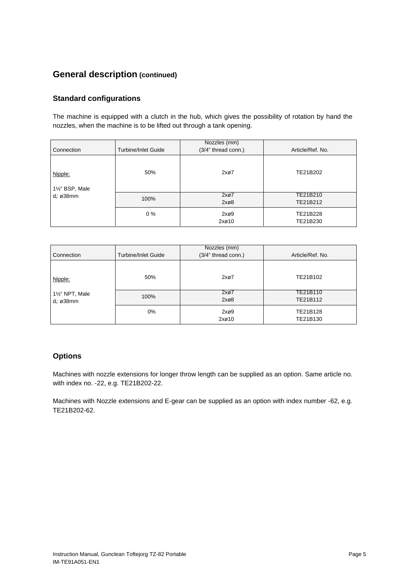# <span id="page-5-0"></span>**General description (continued)**

## **Standard configurations**

The machine is equipped with a clutch in the hub, which gives the possibility of rotation by hand the nozzles, when the machine is to be lifted out through a tank opening.

| Connection               | <b>Turbine/Inlet Guide</b> | Nozzles (mm)<br>(3/4" thread conn.) | Article/Ref. No.     |
|--------------------------|----------------------------|-------------------------------------|----------------------|
| Nipple:<br>1½" BSP, Male | 50%                        | 2x <sub>0</sub> 7                   | TE21B202             |
| d <sub>i</sub> : ø38mm   | 100%                       | 2x@7<br>$2x\varnothing8$            | TE21B210<br>TE21B212 |
|                          | $0\%$                      | $2x\varnothing9$<br>2x@10           | TE21B228<br>TE21B230 |

| Connection                                | <b>Turbine/Inlet Guide</b> | Nozzles (mm)<br>(3/4" thread conn.) | Article/Ref. No.     |
|-------------------------------------------|----------------------------|-------------------------------------|----------------------|
| Nipple:                                   | 50%                        | 2x <sub>0</sub> 7                   | TE21B102             |
| 11/2" NPT, Male<br>d <sub>i</sub> : ø38mm | 100%                       | 2x07<br>2x@8                        | TE21B110<br>TE21B112 |
|                                           | $0\%$                      | 2x@9<br>2x@10                       | TE21B128<br>TE21B130 |

### **Options**

Machines with nozzle extensions for longer throw length can be supplied as an option. Same article no. with index no. -22, e.g. TE21B202-22.

Machines with Nozzle extensions and E-gear can be supplied as an option with index number -62, e.g. TE21B202-62.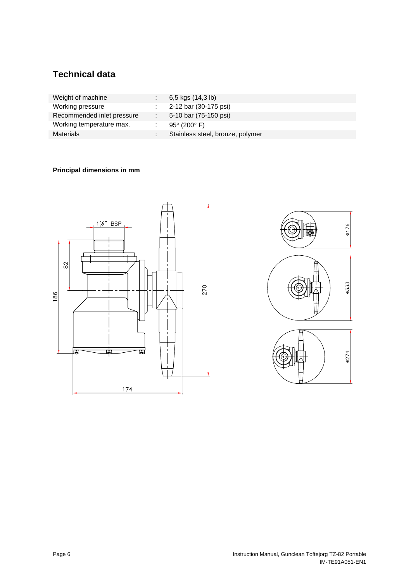# <span id="page-6-1"></span><span id="page-6-0"></span>**Technical data**

| Weight of machine          | 6,5 kgs (14,3 lb)                |
|----------------------------|----------------------------------|
| Working pressure           | 2-12 bar (30-175 psi)            |
| Recommended inlet pressure | 5-10 bar (75-150 psi)            |
| Working temperature max.   | 95 $^{\circ}$ (200 $^{\circ}$ F) |
| Materials                  | Stainless steel, bronze, polymer |

## **Principal dimensions in mm**



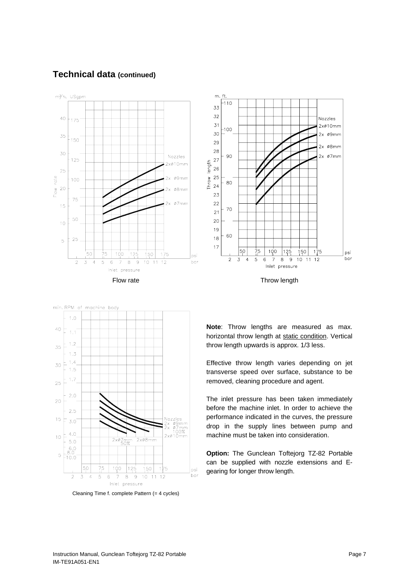## <span id="page-7-0"></span>**Technical data (continued)**







Cleaning Time f. complete Pattern (= 4 cycles)

**Note**: Throw lengths are measured as max. horizontal throw length at static condition. Vertical throw length upwards is approx. 1/3 less.

Effective throw length varies depending on jet transverse speed over surface, substance to be removed, cleaning procedure and agent.

The inlet pressure has been taken immediately before the machine inlet. In order to achieve the performance indicated in the curves, the pressure drop in the supply lines between pump and machine must be taken into consideration.

**Option:** The Gunclean Toftejorg TZ-82 Portable can be supplied with nozzle extensions and Egearing for longer throw length.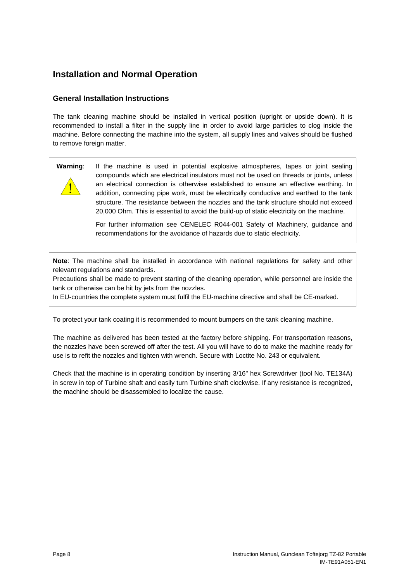# <span id="page-8-0"></span>**Installation and Normal Operation**

## **General Installation Instructions**

The tank cleaning machine should be installed in vertical position (upright or upside down). It is recommended to install a filter in the supply line in order to avoid large particles to clog inside the machine. Before connecting the machine into the system, all supply lines and valves should be flushed to remove foreign matter.

### **Warning**: If the machine is used in potential explosive atmospheres, tapes or joint sealing compounds which are electrical insulators must not be used on threads or joints, unless an electrical connection is otherwise established to ensure an effective earthing. In addition, connecting pipe work, must be electrically conductive and earthed to the tank structure. The resistance between the nozzles and the tank structure should not exceed 20,000 Ohm. This is essential to avoid the build-up of static electricity on the machine.

For further information see CENELEC R044-001 Safety of Machinery, guidance and recommendations for the avoidance of hazards due to static electricity.

**Note**: The machine shall be installed in accordance with national regulations for safety and other relevant regulations and standards.

Precautions shall be made to prevent starting of the cleaning operation, while personnel are inside the tank or otherwise can be hit by jets from the nozzles.

In EU-countries the complete system must fulfil the EU-machine directive and shall be CE-marked.

To protect your tank coating it is recommended to mount bumpers on the tank cleaning machine.

The machine as delivered has been tested at the factory before shipping. For transportation reasons, the nozzles have been screwed off after the test. All you will have to do to make the machine ready for use is to refit the nozzles and tighten with wrench. Secure with Loctite No. 243 or equivalent.

Check that the machine is in operating condition by inserting 3/16" hex Screwdriver (tool No. TE134A) in screw in top of Turbine shaft and easily turn Turbine shaft clockwise. If any resistance is recognized, the machine should be disassembled to localize the cause.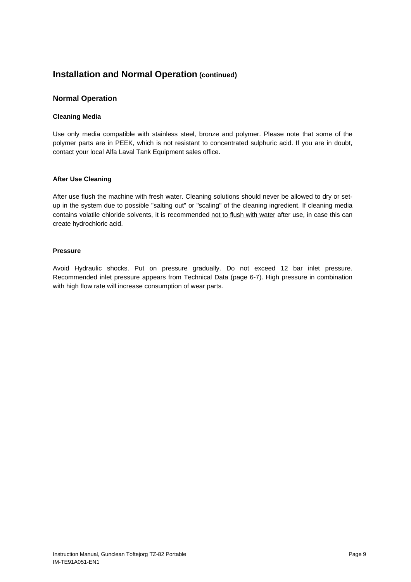# <span id="page-9-0"></span>**Installation and Normal Operation (continued)**

### **Normal Operation**

#### **Cleaning Media**

Use only media compatible with stainless steel, bronze and polymer. Please note that some of the polymer parts are in PEEK, which is not resistant to concentrated sulphuric acid. If you are in doubt, contact your local Alfa Laval Tank Equipment sales office.

#### **After Use Cleaning**

After use flush the machine with fresh water. Cleaning solutions should never be allowed to dry or setup in the system due to possible "salting out" or "scaling" of the cleaning ingredient. If cleaning media contains volatile chloride solvents, it is recommended not to flush with water after use, in case this can create hydrochloric acid.

#### **Pressure**

Avoid Hydraulic shocks. Put on pressure gradually. Do not exceed 12 bar inlet pressure. Recommended inlet pressure appears from Technical Data (page [6-](#page-6-1)[7\)](#page-7-0). High pressure in combination with high flow rate will increase consumption of wear parts.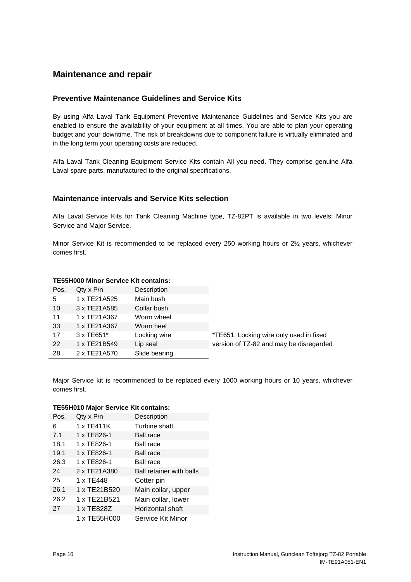## <span id="page-10-0"></span>**Maintenance and repair**

### <span id="page-10-1"></span>**Preventive Maintenance Guidelines and Service Kits**

By using Alfa Laval Tank Equipment Preventive Maintenance Guidelines and Service Kits you are enabled to ensure the availability of your equipment at all times. You are able to plan your operating budget and your downtime. The risk of breakdowns due to component failure is virtually eliminated and in the long term your operating costs are reduced.

Alfa Laval Tank Cleaning Equipment Service Kits contain All you need. They comprise genuine Alfa Laval spare parts, manufactured to the original specifications.

### **Maintenance intervals and Service Kits selection**

Alfa Laval Service Kits for Tank Cleaning Machine type, TZ-82PT is available in two levels: Minor Service and Major Service.

Minor Service Kit is recommended to be replaced every 250 working hours or 2½ years, whichever comes first.

#### **TE55H000 Minor Service Kit contains:**

| Pos. | $Qty \times P/n$ | Description   |        |
|------|------------------|---------------|--------|
| 5    | 1 x TE21A525     | Main bush     |        |
| 10   | 3 x TE21A585     | Collar bush   |        |
| 11   | 1 x TE21A367     | Worm wheel    |        |
| 33   | 1 x TE21A367     | Worm heel     |        |
| 17   | 3 x TE651*       | Locking wire  | *TE6   |
| 22   | 1 x TE21B549     | Lip seal      | versio |
| 28   | 2 x TE21A570     | Slide bearing |        |
|      |                  |               |        |

51, Locking wire only used in fixed on of TZ-82 and may be disregarded

Major Service kit is recommended to be replaced every 1000 working hours or 10 years, whichever comes first.

#### **TE55H010 Major Service Kit contains:**

| Pos. | $Q$ ty x $P/n$ | Description                     |
|------|----------------|---------------------------------|
| 6    | 1 x TE411K     | Turbine shaft                   |
| 7.1  | 1 x TE826-1    | <b>Ball race</b>                |
| 18.1 | 1 x TE826-1    | Ball race                       |
| 19.1 | 1 x TE826-1    | <b>Ball race</b>                |
| 26.3 | 1 x TE826-1    | Ball race                       |
| 24   | 2 x TE21A380   | <b>Ball retainer with balls</b> |
| 25   | 1 x TE448      | Cotter pin                      |
| 26.1 | 1 x TE21B520   | Main collar, upper              |
| 26.2 | 1 x TE21B521   | Main collar, lower              |
| 27   | 1 x TE828Z     | Horizontal shaft                |
|      | 1 x TE55H000   | Service Kit Minor               |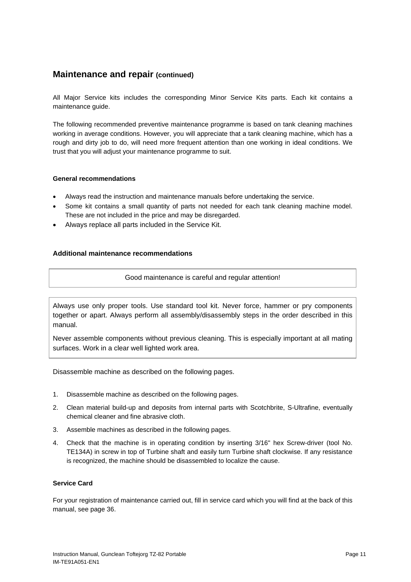<span id="page-11-0"></span>All Major Service kits includes the corresponding Minor Service Kits parts. Each kit contains a maintenance guide.

The following recommended preventive maintenance programme is based on tank cleaning machines working in average conditions. However, you will appreciate that a tank cleaning machine, which has a rough and dirty job to do, will need more frequent attention than one working in ideal conditions. We trust that you will adjust your maintenance programme to suit.

#### **General recommendations**

- Always read the instruction and maintenance manuals before undertaking the service.
- Some kit contains a small quantity of parts not needed for each tank cleaning machine model. These are not included in the price and may be disregarded.
- Always replace all parts included in the Service Kit.

### **Additional maintenance recommendations**

Good maintenance is careful and regular attention!

Always use only proper tools. Use standard tool kit. Never force, hammer or pry components together or apart. Always perform all assembly/disassembly steps in the order described in this manual.

Never assemble components without previous cleaning. This is especially important at all mating surfaces. Work in a clear well lighted work area.

Disassemble machine as described on the following pages.

- 1. Disassemble machine as described on the following pages.
- 2. Clean material build-up and deposits from internal parts with Scotchbrite, S-Ultrafine, eventually chemical cleaner and fine abrasive cloth.
- 3. Assemble machines as described in the following pages.
- 4. Check that the machine is in operating condition by inserting 3/16" hex Screw-driver (tool No. TE134A) in screw in top of Turbine shaft and easily turn Turbine shaft clockwise. If any resistance is recognized, the machine should be disassembled to localize the cause.

#### **Service Card**

For your registration of maintenance carried out, fill in service card which you will find at the back of this manual, see page [36](#page-36-1).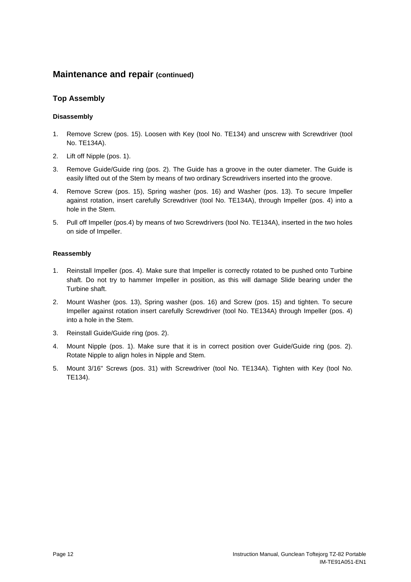## <span id="page-12-1"></span><span id="page-12-0"></span>**Top Assembly**

### **Disassembly**

- 1. Remove Screw (pos. 15). Loosen with Key (tool No. TE134) and unscrew with Screwdriver (tool No. TE134A).
- 2. Lift off Nipple (pos. 1).
- 3. Remove Guide/Guide ring (pos. 2). The Guide has a groove in the outer diameter. The Guide is easily lifted out of the Stem by means of two ordinary Screwdrivers inserted into the groove.
- 4. Remove Screw (pos. 15), Spring washer (pos. 16) and Washer (pos. 13). To secure Impeller against rotation, insert carefully Screwdriver (tool No. TE134A), through Impeller (pos. 4) into a hole in the Stem.
- 5. Pull off Impeller (pos.4) by means of two Screwdrivers (tool No. TE134A), inserted in the two holes on side of Impeller.

### **Reassembly**

- 1. Reinstall Impeller (pos. 4). Make sure that Impeller is correctly rotated to be pushed onto Turbine shaft. Do not try to hammer Impeller in position, as this will damage Slide bearing under the Turbine shaft.
- 2. Mount Washer (pos. 13), Spring washer (pos. 16) and Screw (pos. 15) and tighten. To secure Impeller against rotation insert carefully Screwdriver (tool No. TE134A) through Impeller (pos. 4) into a hole in the Stem.
- 3. Reinstall Guide/Guide ring (pos. 2).
- 4. Mount Nipple (pos. 1). Make sure that it is in correct position over Guide/Guide ring (pos. 2). Rotate Nipple to align holes in Nipple and Stem.
- 5. Mount 3/16" Screws (pos. 31) with Screwdriver (tool No. TE134A). Tighten with Key (tool No. TE134).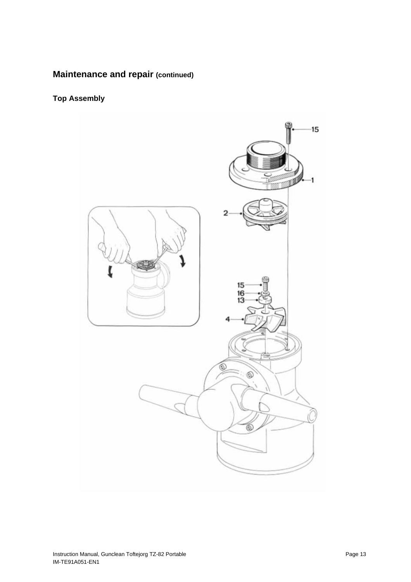# **Top Assembly**

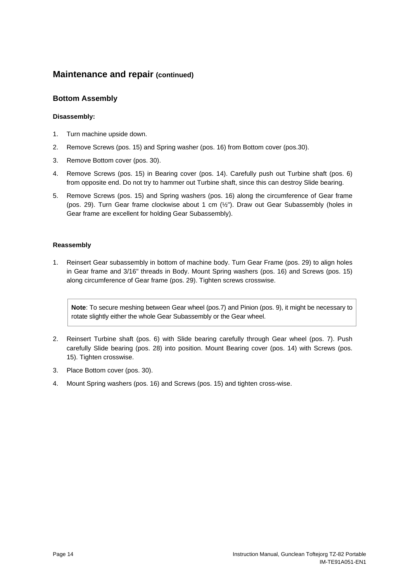### <span id="page-14-1"></span><span id="page-14-0"></span>**Bottom Assembly**

#### **Disassembly:**

- 1. Turn machine upside down.
- 2. Remove Screws (pos. 15) and Spring washer (pos. 16) from Bottom cover (pos.30).
- 3. Remove Bottom cover (pos. 30).
- 4. Remove Screws (pos. 15) in Bearing cover (pos. 14). Carefully push out Turbine shaft (pos. 6) from opposite end. Do not try to hammer out Turbine shaft, since this can destroy Slide bearing.
- 5. Remove Screws (pos. 15) and Spring washers (pos. 16) along the circumference of Gear frame (pos. 29). Turn Gear frame clockwise about 1 cm (½"). Draw out Gear Subassembly (holes in Gear frame are excellent for holding Gear Subassembly).

#### **Reassembly**

1. Reinsert Gear subassembly in bottom of machine body. Turn Gear Frame (pos. 29) to align holes in Gear frame and 3/16" threads in Body. Mount Spring washers (pos. 16) and Screws (pos. 15) along circumference of Gear frame (pos. 29). Tighten screws crosswise.

**Note**: To secure meshing between Gear wheel (pos.7) and Pinion (pos. 9), it might be necessary to rotate slightly either the whole Gear Subassembly or the Gear wheel.

- 2. Reinsert Turbine shaft (pos. 6) with Slide bearing carefully through Gear wheel (pos. 7). Push carefully Slide bearing (pos. 28) into position. Mount Bearing cover (pos. 14) with Screws (pos. 15). Tighten crosswise.
- 3. Place Bottom cover (pos. 30).
- 4. Mount Spring washers (pos. 16) and Screws (pos. 15) and tighten cross-wise.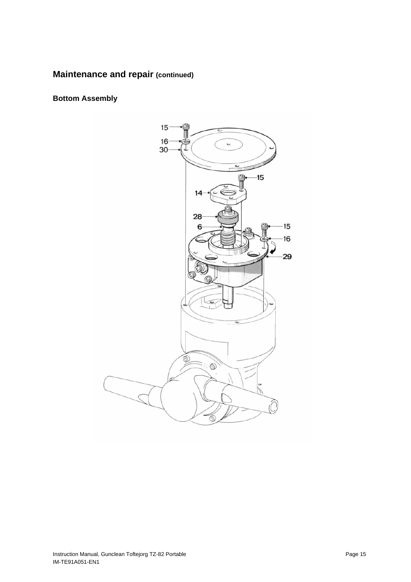**Bottom Assembly**

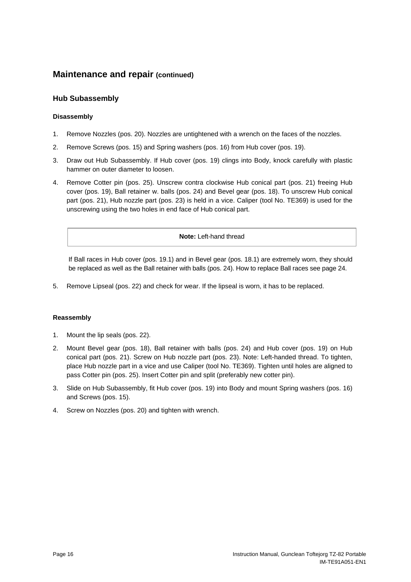### <span id="page-16-1"></span><span id="page-16-0"></span>**Hub Subassembly**

#### **Disassembly**

- 1. Remove Nozzles (pos. 20). Nozzles are untightened with a wrench on the faces of the nozzles.
- 2. Remove Screws (pos. 15) and Spring washers (pos. 16) from Hub cover (pos. 19).
- 3. Draw out Hub Subassembly. If Hub cover (pos. 19) clings into Body, knock carefully with plastic hammer on outer diameter to loosen.
- 4. Remove Cotter pin (pos. 25). Unscrew contra clockwise Hub conical part (pos. 21) freeing Hub cover (pos. 19), Ball retainer w. balls (pos. 24) and Bevel gear (pos. 18). To unscrew Hub conical part (pos. 21), Hub nozzle part (pos. 23) is held in a vice. Caliper (tool No. TE369) is used for the unscrewing using the two holes in end face of Hub conical part.

#### **Note:** Left-hand thread

If Ball races in Hub cover (pos. 19.1) and in Bevel gear (pos. 18.1) are extremely worn, they should be replaced as well as the Ball retainer with balls (pos. 24). How to replace Ball races see page [24](#page-24-0).

5. Remove Lipseal (pos. 22) and check for wear. If the lipseal is worn, it has to be replaced.

#### **Reassembly**

- 1. Mount the lip seals (pos. 22).
- 2. Mount Bevel gear (pos. 18), Ball retainer with balls (pos. 24) and Hub cover (pos. 19) on Hub conical part (pos. 21). Screw on Hub nozzle part (pos. 23). Note: Left-handed thread. To tighten, place Hub nozzle part in a vice and use Caliper (tool No. TE369). Tighten until holes are aligned to pass Cotter pin (pos. 25). Insert Cotter pin and split (preferably new cotter pin).
- 3. Slide on Hub Subassembly, fit Hub cover (pos. 19) into Body and mount Spring washers (pos. 16) and Screws (pos. 15).
- 4. Screw on Nozzles (pos. 20) and tighten with wrench.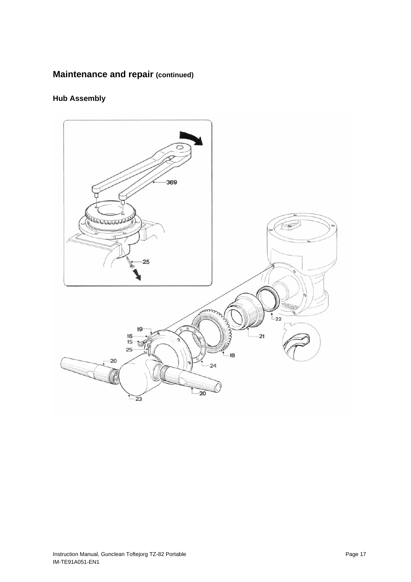# **Hub Assembly**

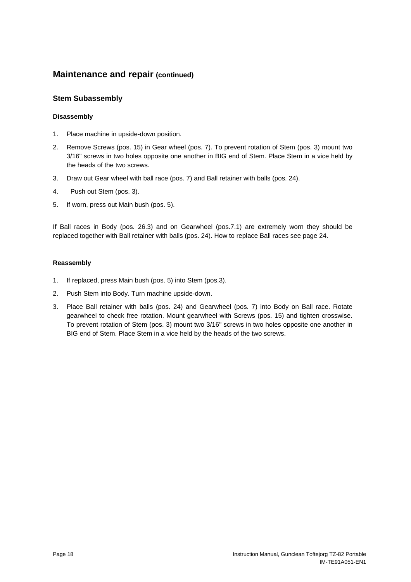### <span id="page-18-1"></span><span id="page-18-0"></span>**Stem Subassembly**

### **Disassembly**

- 1. Place machine in upside-down position.
- 2. Remove Screws (pos. 15) in Gear wheel (pos. 7). To prevent rotation of Stem (pos. 3) mount two 3/16" screws in two holes opposite one another in BIG end of Stem. Place Stem in a vice held by the heads of the two screws.
- 3. Draw out Gear wheel with ball race (pos. 7) and Ball retainer with balls (pos. 24).
- 4. Push out Stem (pos. 3).
- 5. If worn, press out Main bush (pos. 5).

If Ball races in Body (pos. 26.3) and on Gearwheel (pos.7.1) are extremely worn they should be replaced together with Ball retainer with balls (pos. 24). How to replace Ball races see page [24](#page-24-0).

#### **Reassembly**

- 1. If replaced, press Main bush (pos. 5) into Stem (pos.3).
- 2. Push Stem into Body. Turn machine upside-down.
- 3. Place Ball retainer with balls (pos. 24) and Gearwheel (pos. 7) into Body on Ball race. Rotate gearwheel to check free rotation. Mount gearwheel with Screws (pos. 15) and tighten crosswise. To prevent rotation of Stem (pos. 3) mount two 3/16" screws in two holes opposite one another in BIG end of Stem. Place Stem in a vice held by the heads of the two screws.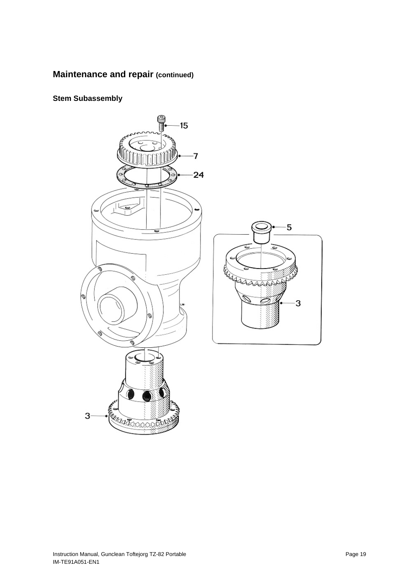## **Stem Subassembly**

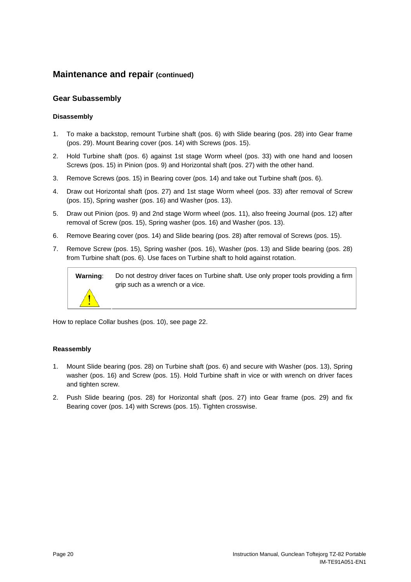### <span id="page-20-1"></span><span id="page-20-0"></span>**Gear Subassembly**

#### **Disassembly**

- 1. To make a backstop, remount Turbine shaft (pos. 6) with Slide bearing (pos. 28) into Gear frame (pos. 29). Mount Bearing cover (pos. 14) with Screws (pos. 15).
- 2. Hold Turbine shaft (pos. 6) against 1st stage Worm wheel (pos. 33) with one hand and loosen Screws (pos. 15) in Pinion (pos. 9) and Horizontal shaft (pos. 27) with the other hand.
- 3. Remove Screws (pos. 15) in Bearing cover (pos. 14) and take out Turbine shaft (pos. 6).
- 4. Draw out Horizontal shaft (pos. 27) and 1st stage Worm wheel (pos. 33) after removal of Screw (pos. 15), Spring washer (pos. 16) and Washer (pos. 13).
- 5. Draw out Pinion (pos. 9) and 2nd stage Worm wheel (pos. 11), also freeing Journal (pos. 12) after removal of Screw (pos. 15), Spring washer (pos. 16) and Washer (pos. 13).
- 6. Remove Bearing cover (pos. 14) and Slide bearing (pos. 28) after removal of Screws (pos. 15).
- 7. Remove Screw (pos. 15), Spring washer (pos. 16), Washer (pos. 13) and Slide bearing (pos. 28) from Turbine shaft (pos. 6). Use faces on Turbine shaft to hold against rotation.



How to replace Collar bushes (pos. 10), see page [22](#page-22-1).

#### **Reassembly**

- 1. Mount Slide bearing (pos. 28) on Turbine shaft (pos. 6) and secure with Washer (pos. 13), Spring washer (pos. 16) and Screw (pos. 15). Hold Turbine shaft in vice or with wrench on driver faces and tighten screw.
- 2. Push Slide bearing (pos. 28) for Horizontal shaft (pos. 27) into Gear frame (pos. 29) and fix Bearing cover (pos. 14) with Screws (pos. 15). Tighten crosswise.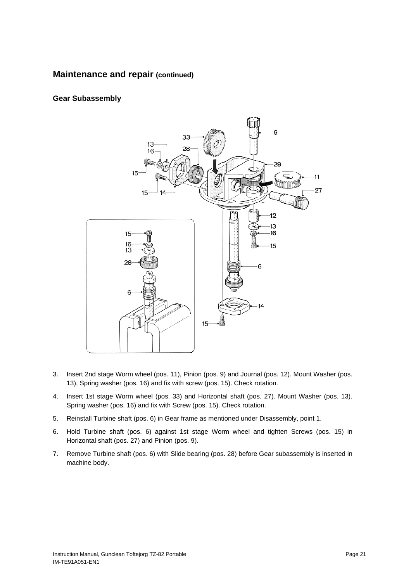## **Gear Subassembly**



- 3. Insert 2nd stage Worm wheel (pos. 11), Pinion (pos. 9) and Journal (pos. 12). Mount Washer (pos. 13), Spring washer (pos. 16) and fix with screw (pos. 15). Check rotation.
- 4. Insert 1st stage Worm wheel (pos. 33) and Horizontal shaft (pos. 27). Mount Washer (pos. 13). Spring washer (pos. 16) and fix with Screw (pos. 15). Check rotation.
- 5. Reinstall Turbine shaft (pos. 6) in Gear frame as mentioned under Disassembly, point 1.
- 6. Hold Turbine shaft (pos. 6) against 1st stage Worm wheel and tighten Screws (pos. 15) in Horizontal shaft (pos. 27) and Pinion (pos. 9).
- 7. Remove Turbine shaft (pos. 6) with Slide bearing (pos. 28) before Gear subassembly is inserted in machine body.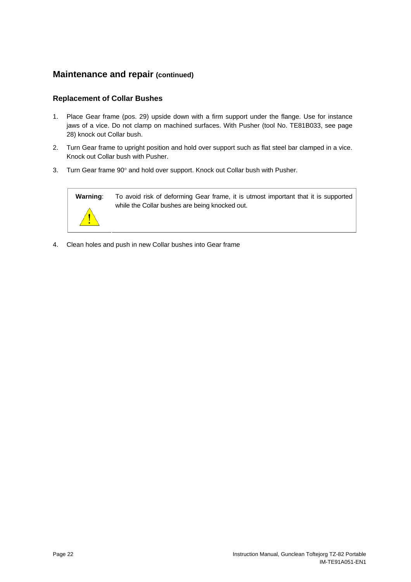## <span id="page-22-1"></span><span id="page-22-0"></span>**Replacement of Collar Bushes**

- 1. Place Gear frame (pos. 29) upside down with a firm support under the flange. Use for instance jaws of a vice. Do not clamp on machined surfaces. With Pusher (tool No. TE81B033, see pa[ge](#page-28-1) 28) knock out Collar bush.
- 2. Turn Gear frame to upright position and hold over support such as flat steel bar clamped in a vice. Knock out Collar bush with Pusher.
- 3. Turn Gear frame 90° and hold over support. Knock out Collar bush with Pusher.



**Warning**: To avoid risk of deforming Gear frame, it is utmost important that it is supported while the Collar bushes are being knocked out.

4. Clean holes and push in new Collar bushes into Gear frame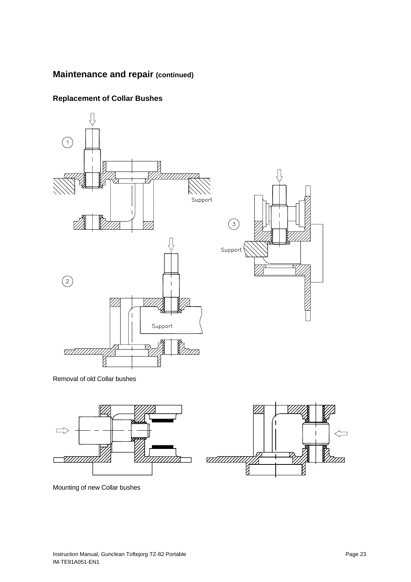

# **Replacement of Collar Bushes**

Removal of old Collar bushes





Mounting of new Collar bushes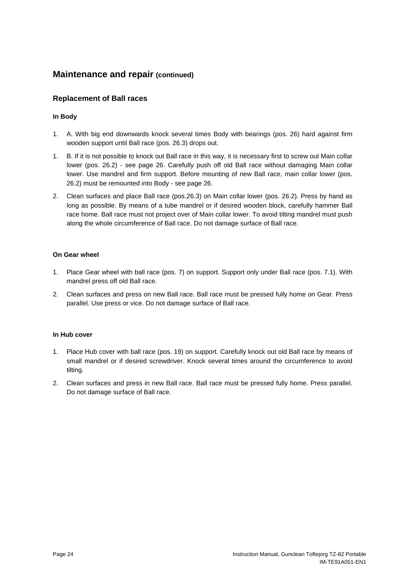### <span id="page-24-0"></span>**Replacement of Ball races**

### **In Body**

- 1. A. With big end downwards knock several times Body with bearings (pos. 26) hard against firm wooden support until Ball race (pos. 26.3) drops out.
- 1. B. If it is not possible to knock out Ball race in this way, it is necessary first to screw out Main collar lower (pos. 26.2) - see pag[e](#page-26-1) 26. Carefully push off old Ball race without damaging Main collar lower. Use mandrel and firm support. Before mounting of new Ball race, main collar lower (pos. 26.2) must be remounted into Body - see [pa](#page-26-1)ge 26.
- 2. Clean surfaces and place Ball race (pos.26.3) on Main collar lower (pos. 26.2). Press by hand as long as possible. By means of a tube mandrel or if desired wooden block, carefully hammer Ball race home. Ball race must not project over of Main collar lower. To avoid tilting mandrel must push along the whole circumference of Ball race. Do not damage surface of Ball race.

#### **On Gear wheel**

- 1. Place Gear wheel with ball race (pos. 7) on support. Support only under Ball race (pos. 7.1). With mandrel press off old Ball race.
- 2. Clean surfaces and press on new Ball race. Ball race must be pressed fully home on Gear. Press parallel. Use press or vice. Do not damage surface of Ball race.

### **In Hub cover**

- 1. Place Hub cover with ball race (pos. 19) on support. Carefully knock out old Ball race by means of small mandrel or if desired screwdriver. Knock several times around the circumference to avoid tilting.
- 2. Clean surfaces and press in new Ball race. Ball race must be pressed fully home. Press parallel. Do not damage surface of Ball race.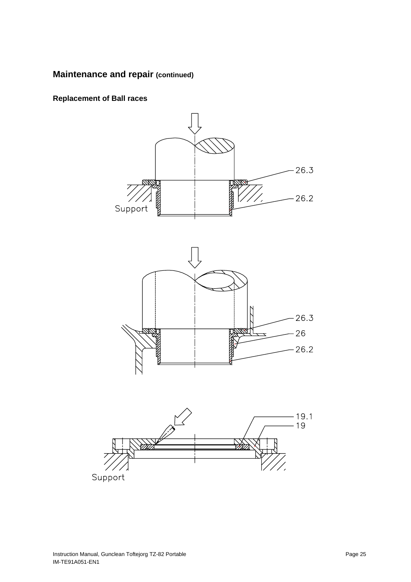**Replacement of Ball races** 

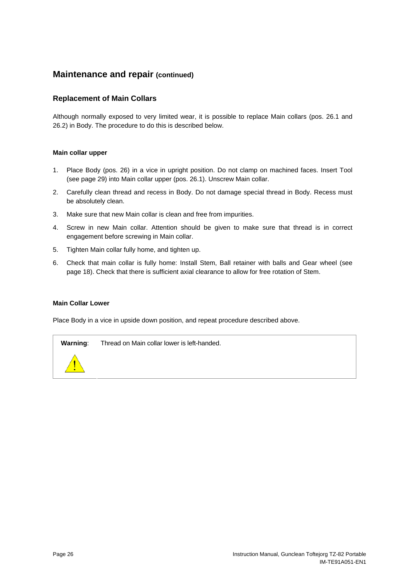### <span id="page-26-1"></span><span id="page-26-0"></span>**Replacement of Main Collars**

Although normally exposed to very limited wear, it is possible to replace Main collars (pos. 26.1 and 26.2) in Body. The procedure to do this is described below.

### **Main collar upper**

- 1. Place Body (pos. 26) in a vice in upright position. Do not clamp on machined faces. Insert Tool (see page [29](#page-29-1)) into Main collar upper (pos. 26.1). Unscrew Main collar.
- 2. Carefully clean thread and recess in Body. Do not damage special thread in Body. Recess must be absolutely clean.
- 3. Make sure that new Main collar is clean and free from impurities.
- 4. Screw in new Main collar. Attention should be given to make sure that thread is in correct engagement before screwing in Main collar.
- 5. Tighten Main collar fully home, and tighten up.
- 6. Check that main collar is fully home: Install Stem, Ball retainer with balls and Gear wheel (see page [18](#page-18-1)). Check that there is sufficient axial clearance to allow for free rotation of Stem.

#### **Main Collar Lower**

Place Body in a vice in upside down position, and repeat procedure described above.



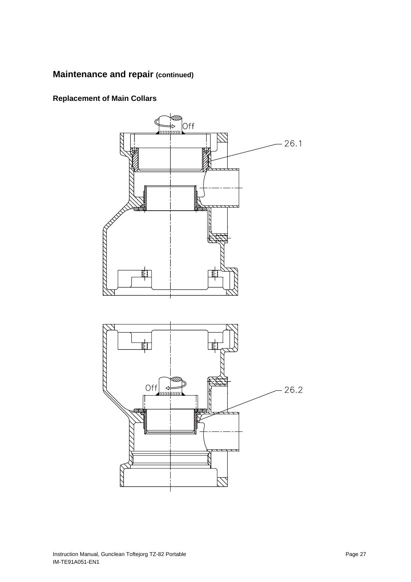**Replacement of Main Collars** 

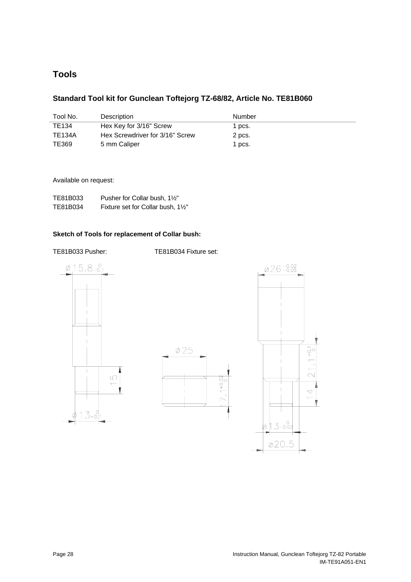# <span id="page-28-1"></span><span id="page-28-0"></span>**Tools**

## **Standard Tool kit for Gunclean Toftejorg TZ-68/82, Article No. TE81B060**

| Tool No. | Description                     | Number |
|----------|---------------------------------|--------|
| TE134    | Hex Key for 3/16" Screw         | 1 pcs. |
| TE134A   | Hex Screwdriver for 3/16" Screw | 2 pcs. |
| TE369    | 5 mm Caliper                    | 1 pcs. |

#### Available on request:

| TE81B033 | Pusher for Collar bush, 1½"      |
|----------|----------------------------------|
| TE81B034 | Fixture set for Collar bush, 1½" |

#### **Sketch of Tools for replacement of Collar bush:**

TE81B033 Pusher: TE81B034 Fixture set:





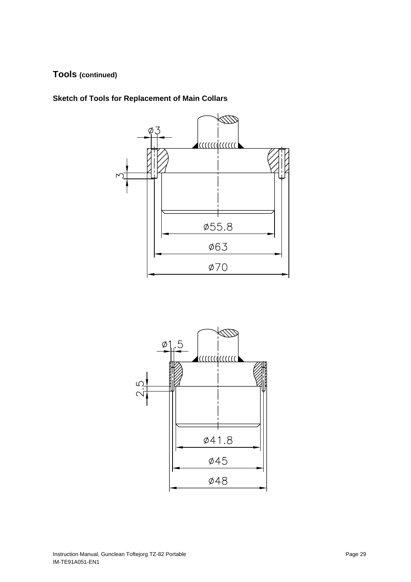# <span id="page-29-0"></span>**Tools (continued)**

<span id="page-29-1"></span>**Sketch of Tools for Replacement of Main Collars** 



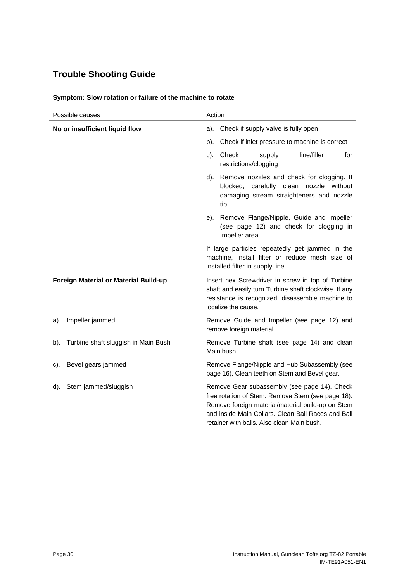# <span id="page-30-0"></span>**Trouble Shooting Guide**

| Possible causes                               | Action                                                                                                                                                                                                                                                     |  |  |
|-----------------------------------------------|------------------------------------------------------------------------------------------------------------------------------------------------------------------------------------------------------------------------------------------------------------|--|--|
| No or insufficient liquid flow                | Check if supply valve is fully open<br>a).                                                                                                                                                                                                                 |  |  |
|                                               | Check if inlet pressure to machine is correct<br>b).                                                                                                                                                                                                       |  |  |
|                                               | line/filler<br>c).<br>Check<br>supply<br>for<br>restrictions/clogging                                                                                                                                                                                      |  |  |
|                                               | d). Remove nozzles and check for clogging. If<br>blocked, carefully clean nozzle without<br>damaging stream straighteners and nozzle<br>tip.                                                                                                               |  |  |
|                                               | Remove Flange/Nipple, Guide and Impeller<br>e).<br>(see page 12) and check for clogging in<br>Impeller area.                                                                                                                                               |  |  |
|                                               | If large particles repeatedly get jammed in the<br>machine, install filter or reduce mesh size of<br>installed filter in supply line.                                                                                                                      |  |  |
| Foreign Material or Material Build-up         | Insert hex Screwdriver in screw in top of Turbine<br>shaft and easily turn Turbine shaft clockwise. If any<br>resistance is recognized, disassemble machine to<br>localize the cause.                                                                      |  |  |
| Impeller jammed<br>a).                        | Remove Guide and Impeller (see page 12) and<br>remove foreign material.                                                                                                                                                                                    |  |  |
| Turbine shaft sluggish in Main Bush<br>$b$ ). | Remove Turbine shaft (see page 14) and clean<br>Main bush                                                                                                                                                                                                  |  |  |
| Bevel gears jammed<br>c).                     | Remove Flange/Nipple and Hub Subassembly (see<br>page 16). Clean teeth on Stem and Bevel gear.                                                                                                                                                             |  |  |
| Stem jammed/sluggish<br>d).                   | Remove Gear subassembly (see page 14). Check<br>free rotation of Stem. Remove Stem (see page 18).<br>Remove foreign material/material build-up on Stem<br>and inside Main Collars. Clean Ball Races and Ball<br>retainer with balls. Also clean Main bush. |  |  |

### **Symptom: Slow rotation or failure of the machine to rotate**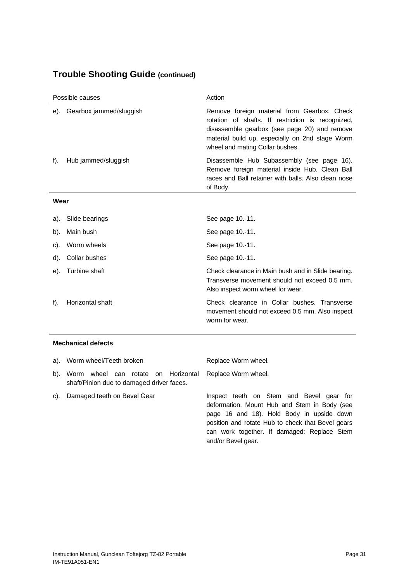# **Trouble Shooting Guide (continued)**

| Possible causes |                             | Action                                                                                                                                                                                                                                 |  |
|-----------------|-----------------------------|----------------------------------------------------------------------------------------------------------------------------------------------------------------------------------------------------------------------------------------|--|
|                 | e). Gearbox jammed/sluggish | Remove foreign material from Gearbox. Check<br>rotation of shafts. If restriction is recognized,<br>disassemble gearbox (see page 20) and remove<br>material build up, especially on 2nd stage Worm<br>wheel and mating Collar bushes. |  |
| $f$ ).          | Hub jammed/sluggish         | Disassemble Hub Subassembly (see page 16).<br>Remove foreign material inside Hub. Clean Ball<br>races and Ball retainer with balls. Also clean nose<br>of Body.                                                                        |  |
| Wear            |                             |                                                                                                                                                                                                                                        |  |
| a).             | Slide bearings              | See page 10.-11.                                                                                                                                                                                                                       |  |
| b).             | Main bush                   | See page 10.-11.                                                                                                                                                                                                                       |  |
| C).             | Worm wheels                 | See page 10.-11.                                                                                                                                                                                                                       |  |
| d).             | <b>Collar bushes</b>        | See page 10.-11.                                                                                                                                                                                                                       |  |
| e).             | Turbine shaft               | Check clearance in Main bush and in Slide bearing.<br>Transverse movement should not exceed 0.5 mm.<br>Also inspect worm wheel for wear.                                                                                               |  |
| $f$ ).          | Horizontal shaft            | Check clearance in Collar bushes. Transverse<br>movement should not exceed 0.5 mm. Also inspect<br>worm for wear.                                                                                                                      |  |
|                 |                             |                                                                                                                                                                                                                                        |  |

### **Mechanical defects**

|     | a). Worm wheel/Teeth broken                                                                              | Replace Worm wheel.                                                                                                                                                                                                                                             |
|-----|----------------------------------------------------------------------------------------------------------|-----------------------------------------------------------------------------------------------------------------------------------------------------------------------------------------------------------------------------------------------------------------|
|     | b). Worm wheel can rotate on Horizontal Replace Worm wheel.<br>shaft/Pinion due to damaged driver faces. |                                                                                                                                                                                                                                                                 |
| C). | Damaged teeth on Bevel Gear                                                                              | Inspect teeth on Stem and Bevel gear for<br>deformation. Mount Hub and Stem in Body (see<br>page 16 and 18). Hold Body in upside down<br>position and rotate Hub to check that Bevel gears<br>can work together. If damaged: Replace Stem<br>and/or Bevel gear. |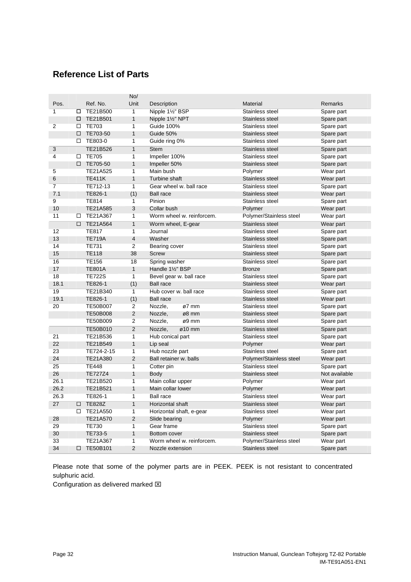# <span id="page-32-1"></span><span id="page-32-0"></span>**Reference List of Parts**

|                |        |                 | No/            |                                |                            |               |
|----------------|--------|-----------------|----------------|--------------------------------|----------------------------|---------------|
| Pos.           |        | Ref. No.        | Unit           | Description                    | <b>Material</b>            | Remarks       |
| 1              | □      | TE21B500        | $\overline{1}$ | Nipple 11/2" BSP               | Stainless steel            | Spare part    |
|                | □      | TE21B501        | $\mathbf{1}$   | Nipple 11/2" NPT               | Stainless steel            | Spare part    |
| 2              | п      | <b>TE703</b>    | $\overline{1}$ | <b>Guide 100%</b>              | Stainless steel            | Spare part    |
|                | □      | TE703-50        | $\mathbf{1}$   | Guide 50%                      | Stainless steel            | Spare part    |
|                | □      | TE803-0         | $\overline{1}$ | Guide ring 0%                  | Stainless steel            | Spare part    |
| 3              |        | TE21B526        | $\overline{1}$ | <b>Stem</b>                    | Stainless steel            | Spare part    |
| $\overline{4}$ | □      | <b>TE705</b>    | $\overline{1}$ | Impeller 100%                  | Stainless steel            | Spare part    |
|                | $\Box$ | TE705-50        | $\mathbf{1}$   | Impeller 50%                   | Stainless steel            | Spare part    |
| 5              |        | TE21A525        | $\overline{1}$ | Main bush                      | Polymer                    | Wear part     |
| 6              |        | <b>TE411K</b>   | $\mathbf{1}$   | Turbine shaft                  | Stainless steel            | Wear part     |
| $\overline{7}$ |        | TE712-13        | $\overline{1}$ | Gear wheel w. ball race        | Stainless steel            | Spare part    |
| 7.1            |        | TE826-1         | (1)            | <b>Ball race</b>               | Stainless steel            | Wear part     |
| 9              |        | <b>TE814</b>    | $\mathbf{1}$   | Pinion                         | Stainless steel            | Spare part    |
| 10             |        | TE21A585        | 3              | Collar bush                    | Polymer                    | Wear part     |
| 11             | □      | TE21A367        | 1              | Worm wheel w. reinforcem.      | Polymer/Stainless steel    |               |
|                |        |                 |                |                                |                            | Wear part     |
|                | $\Box$ | TE21A564        | $\overline{1}$ | Worm wheel, E-gear             | Stainless steel            | Wear part     |
| 12             |        | <b>TE817</b>    | $\overline{1}$ | Journal                        | Stainless steel            | Spare part    |
| 13             |        | <b>TE719A</b>   | $\overline{4}$ | Washer                         | Stainless steel            | Spare part    |
| 14             |        | <b>TE731</b>    | $\overline{2}$ | Bearing cover                  | Stainless steel            | Spare part    |
| 15             |        | <b>TE118</b>    | 38             | <b>Screw</b>                   | Stainless steel            | Spare part    |
| 16             |        | <b>TE156</b>    | 18             | Spring washer                  | Stainless steel            | Spare part    |
| 17             |        | <b>TE801A</b>   | $\mathbf{1}$   | Handle 11/2" BSP               | <b>Bronze</b>              | Spare part    |
| 18             |        | <b>TE722S</b>   | $\overline{1}$ | Bevel gear w. ball race        | Stainless steel            | Spare part    |
| 18.1           |        | TE826-1         | (1)            | <b>Ball race</b>               | Stainless steel            | Wear part     |
| 19             |        | TE21B340        | $\overline{1}$ | Hub cover w. ball race         | Stainless steel            | Spare part    |
| 19.1           |        | TE826-1         | (1)            | <b>Ball race</b>               | Stainless steel            | Wear part     |
| 20             |        | <b>TE50B007</b> | $\overline{2}$ | Nozzle,<br>ø7 mm               | Stainless steel            | Spare part    |
|                |        | <b>TE50B008</b> | $\overline{2}$ | Nozzle,<br>ø8 mm               | Stainless steel            | Spare part    |
|                |        | TE50B009        | $\overline{2}$ | Nozzle,<br>ø9 mm               | Stainless steel            | Spare part    |
|                |        | TE50B010        | $\overline{2}$ | Nozzle,<br>$\varnothing$ 10 mm | Stainless steel            | Spare part    |
| 21             |        | TE21B536        | 1              | Hub conical part               | Stainless steel            | Spare part    |
| 22             |        | TE21B549        | $\mathbf{1}$   | Lip seal                       | Polymer                    | Wear part     |
| 23             |        | TE724-2-15      | 1              | Hub nozzle part                | Stainless steel            | Spare part    |
| 24             |        | TE21A380        | $\overline{2}$ | Ball retainer w. balls         | Polymer/Stainless steel    | Wear part     |
| 25             |        | <b>TE448</b>    | $\overline{1}$ | Cotter pin                     | Stainless steel            | Spare part    |
| 26             |        | <b>TE727Z4</b>  | $\mathbf{1}$   | <b>Body</b>                    | Stainless steel            | Not available |
| 26.1           |        | TE21B520        | $\overline{1}$ | Main collar upper              | Polymer                    | Wear part     |
| 26.2           |        | TE21B521        | $\mathbf{1}$   | Main collar lower              | Polymer                    | Wear part     |
| 26.3           |        | TE826-1         | $\overline{1}$ | <b>Ball race</b>               | Stainless steel            | Wear part     |
| 27             | $\Box$ | <b>TE828Z</b>   | $\overline{1}$ | Horizontal shaft               | Stainless steel            |               |
|                | П.     | TE21A550        | $\overline{1}$ |                                | Stainless steel            | Wear part     |
| 28             |        | TE21A570        | $\overline{2}$ | Horizontal shaft, e-gear       |                            | Wear part     |
| 29             |        | <b>TE730</b>    | $\overline{1}$ | Slide bearing<br>Gear frame    | Polymer<br>Stainless steel | Wear part     |
|                |        |                 |                |                                |                            | Spare part    |
| 30             |        | TE733-5         | $\mathbf{1}$   | Bottom cover                   | Stainless steel            | Spare part    |
| 33             |        | TE21A367        | 1              | Worm wheel w. reinforcem.      | Polymer/Stainless steel    | Wear part     |
| 34             | $\Box$ | TE50B101        | $\overline{2}$ | Nozzle extension               | Stainless steel            | Spare part    |

Please note that some of the polymer parts are in PEEK. PEEK is not resistant to concentrated sulphuric acid.

Configuration as delivered marked  $\boxtimes$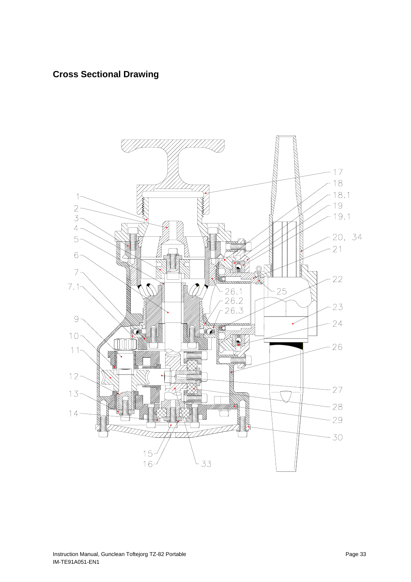# <span id="page-33-0"></span>**Cross Sectional Drawing**

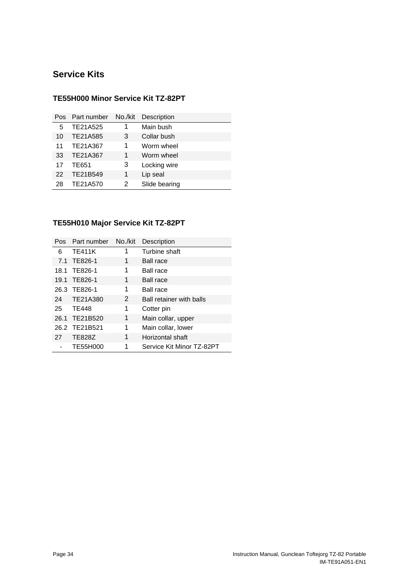# <span id="page-34-0"></span>**Service Kits**

| Pos. | Part number | No./kit | Description   |
|------|-------------|---------|---------------|
| 5    | TE21A525    | 1       | Main bush     |
| 10   | TE21A585    | 3       | Collar bush   |
| 11   | TE21A367    | 1       | Worm wheel    |
| 33   | TE21A367    | 1       | Worm wheel    |
| 17   | TE651       | 3       | Locking wire  |
| 22   | TE21B549    | 1       | Lip seal      |
| 28   | TE21A570    | 2       | Slide bearing |

## **TE55H000 Minor Service Kit TZ-82PT**

## **TE55H010 Major Service Kit TZ-82PT**

| Pos. | Part number   | No./kit | Description               |
|------|---------------|---------|---------------------------|
| 6    | <b>TE411K</b> | 1       | Turbine shaft             |
|      | 7.1 TE826-1   | 1       | <b>Ball race</b>          |
|      | 18.1 TE826-1  | 1       | <b>Ball race</b>          |
|      | 19.1 TE826-1  | 1       | <b>Ball race</b>          |
|      | 26.3 TE826-1  | 1       | <b>Ball race</b>          |
| 24   | TE21A380      | 2       | Ball retainer with balls  |
| 25   | <b>TE448</b>  | 1       | Cotter pin                |
|      | 26.1 TE21B520 | 1       | Main collar, upper        |
|      | 26.2 TE21B521 | 1       | Main collar, lower        |
| 27   | <b>TE828Z</b> | 1       | Horizontal shaft          |
|      | TE55H000      |         | Service Kit Minor TZ-82PT |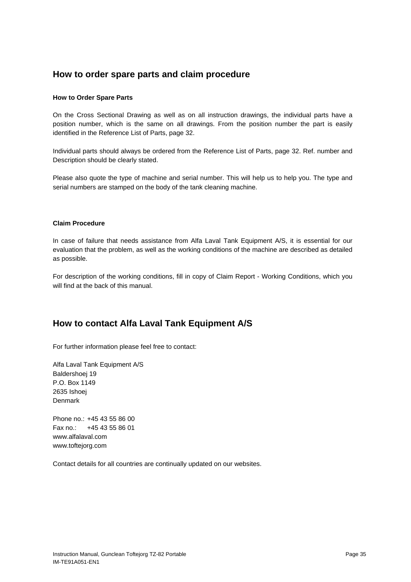## <span id="page-35-0"></span>**How to order spare parts and claim procedure**

#### **How to Order Spare Parts**

On the Cross Sectional Drawing as well as on all instruction drawings, the individual parts have a position number, which is the same on all drawings. From the position number the part is easily identified in the Reference List of Parts, page [32](#page-32-1).

Individual parts should always be ordered from the Reference List of Parts, page [32.](#page-32-1) Ref. number and Description should be clearly stated.

Please also quote the type of machine and serial number. This will help us to help you. The type and serial numbers are stamped on the body of the tank cleaning machine.

#### **Claim Procedure**

In case of failure that needs assistance from Alfa Laval Tank Equipment A/S, it is essential for our evaluation that the problem, as well as the working conditions of the machine are described as detailed as possible.

For description of the working conditions, fill in copy of Claim Report - Working Conditions, which you will find at the back of this manual.

# **How to contact Alfa Laval Tank Equipment A/S**

For further information please feel free to contact:

Alfa Laval Tank Equipment A/S Baldershoej 19 P.O. Box 1149 2635 Ishoej Denmark

Phone no.: +45 43 55 86 00 Fax no.: +45 43 55 86 01 www.alfalaval.com www.toftejorg.com

Contact details for all countries are continually updated on our websites.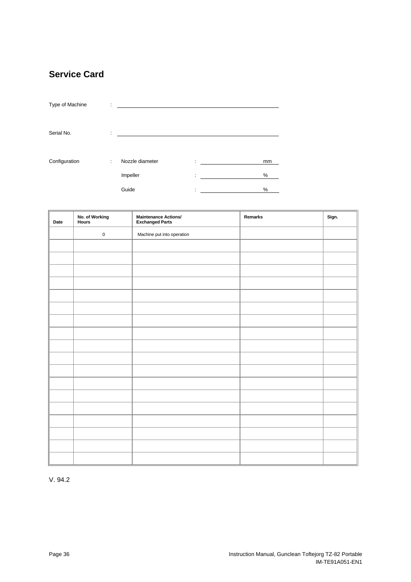# <span id="page-36-1"></span><span id="page-36-0"></span>**Service Card**

| Type of Machine | ÷ |                 |              |    |
|-----------------|---|-----------------|--------------|----|
| Serial No.      | ÷ |                 |              |    |
| Configuration   | ÷ | Nozzle diameter | ÷            | mm |
|                 |   | Impeller        | ٠<br>×       | %  |
|                 |   | Guide           | ٠<br>$\cdot$ | %  |

| Date | No. of Working<br>Hours | Maintenance Actions/<br>Exchanged Parts | Remarks | Sign. |
|------|-------------------------|-----------------------------------------|---------|-------|
|      | $\pmb{0}$               | Machine put into operation              |         |       |
|      |                         |                                         |         |       |
|      |                         |                                         |         |       |
|      |                         |                                         |         |       |
|      |                         |                                         |         |       |
|      |                         |                                         |         |       |
|      |                         |                                         |         |       |
|      |                         |                                         |         |       |
|      |                         |                                         |         |       |
|      |                         |                                         |         |       |
|      |                         |                                         |         |       |
|      |                         |                                         |         |       |
|      |                         |                                         |         |       |
|      |                         |                                         |         |       |
|      |                         |                                         |         |       |
|      |                         |                                         |         |       |
|      |                         |                                         |         |       |
|      |                         |                                         |         |       |
|      |                         |                                         |         |       |

V. 94.2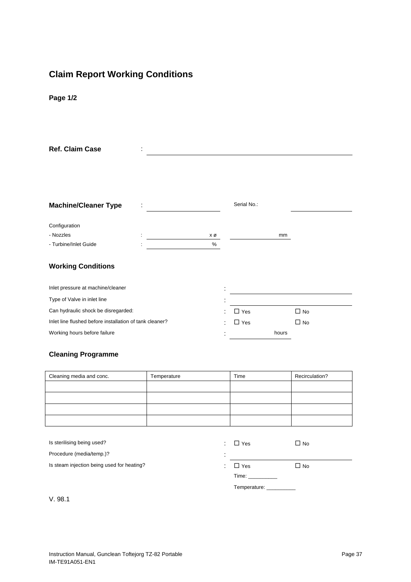# <span id="page-37-0"></span>**Claim Report Working Conditions**

**Page 1/2**

| <b>Ref. Claim Case</b>                                  |  |                |             |       |           |
|---------------------------------------------------------|--|----------------|-------------|-------|-----------|
|                                                         |  |                |             |       |           |
|                                                         |  |                |             |       |           |
|                                                         |  |                |             |       |           |
|                                                         |  |                |             |       |           |
| <b>Machine/Cleaner Type</b>                             |  |                | Serial No.: |       |           |
|                                                         |  |                |             |       |           |
| Configuration                                           |  |                |             |       |           |
| - Nozzles                                               |  | ΧØ             |             | mm    |           |
| - Turbine/Inlet Guide                                   |  | $\%$           |             |       |           |
|                                                         |  |                |             |       |           |
| <b>Working Conditions</b>                               |  |                |             |       |           |
|                                                         |  |                |             |       |           |
| Inlet pressure at machine/cleaner                       |  | $\blacksquare$ |             |       |           |
| Type of Valve in inlet line                             |  |                |             |       |           |
| Can hydraulic shock be disregarded:                     |  |                | $\Box$ Yes  |       | $\Box$ No |
| Inlet line flushed before installation of tank cleaner? |  |                | $\Box$ Yes  |       | $\Box$ No |
| Working hours before failure                            |  |                |             | hours |           |

## **Cleaning Programme**

| Cleaning media and conc. | Temperature | Time | Recirculation? |
|--------------------------|-------------|------|----------------|
|                          |             |      |                |
|                          |             |      |                |
|                          |             |      |                |
|                          |             |      |                |

| Is sterilising being used?                 | ٠.        | $\Box$ Yes                                                                                                                                                                                                                     | $\square$ No |
|--------------------------------------------|-----------|--------------------------------------------------------------------------------------------------------------------------------------------------------------------------------------------------------------------------------|--------------|
| Procedure (media/temp.)?                   | ٠         |                                                                                                                                                                                                                                |              |
| Is steam injection being used for heating? | $\bullet$ | $\Box$ Yes                                                                                                                                                                                                                     | $\Box$ No    |
|                                            |           | Time: The contract of the contract of the contract of the contract of the contract of the contract of the contract of the contract of the contract of the contract of the contract of the contract of the contract of the cont |              |
|                                            |           |                                                                                                                                                                                                                                |              |
| V.98.1                                     |           |                                                                                                                                                                                                                                |              |